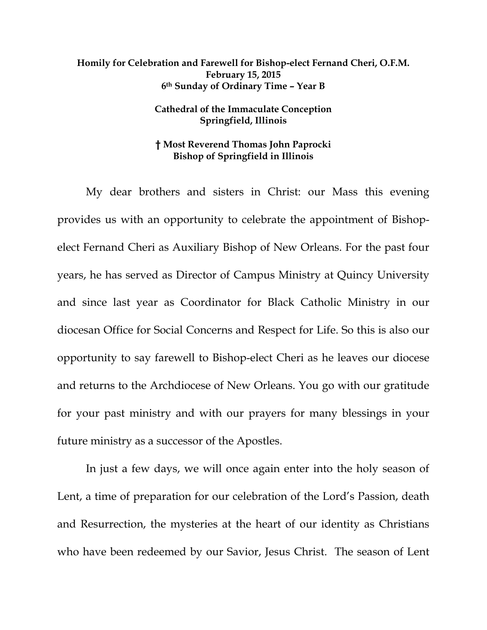## **Homily for Celebration and Farewell for Bishop-elect Fernand Cheri, O.F.M. February 15, 2015 6th Sunday of Ordinary Time – Year B**

## **Cathedral of the Immaculate Conception Springfield, Illinois**

## **† Most Reverend Thomas John Paprocki Bishop of Springfield in Illinois**

My dear brothers and sisters in Christ: our Mass this evening provides us with an opportunity to celebrate the appointment of Bishopelect Fernand Cheri as Auxiliary Bishop of New Orleans. For the past four years, he has served as Director of Campus Ministry at Quincy University and since last year as Coordinator for Black Catholic Ministry in our diocesan Office for Social Concerns and Respect for Life. So this is also our opportunity to say farewell to Bishop-elect Cheri as he leaves our diocese and returns to the Archdiocese of New Orleans. You go with our gratitude for your past ministry and with our prayers for many blessings in your future ministry as a successor of the Apostles.

In just a few days, we will once again enter into the holy season of Lent, a time of preparation for our celebration of the Lord's Passion, death and Resurrection, the mysteries at the heart of our identity as Christians who have been redeemed by our Savior, Jesus Christ. The season of Lent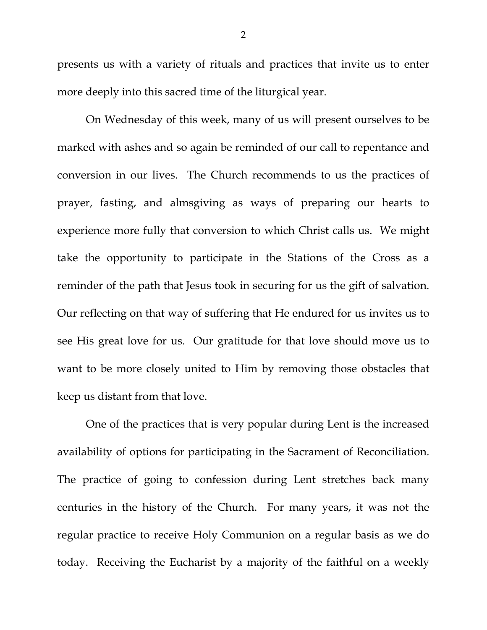presents us with a variety of rituals and practices that invite us to enter more deeply into this sacred time of the liturgical year.

On Wednesday of this week, many of us will present ourselves to be marked with ashes and so again be reminded of our call to repentance and conversion in our lives. The Church recommends to us the practices of prayer, fasting, and almsgiving as ways of preparing our hearts to experience more fully that conversion to which Christ calls us. We might take the opportunity to participate in the Stations of the Cross as a reminder of the path that Jesus took in securing for us the gift of salvation. Our reflecting on that way of suffering that He endured for us invites us to see His great love for us. Our gratitude for that love should move us to want to be more closely united to Him by removing those obstacles that keep us distant from that love.

One of the practices that is very popular during Lent is the increased availability of options for participating in the Sacrament of Reconciliation. The practice of going to confession during Lent stretches back many centuries in the history of the Church. For many years, it was not the regular practice to receive Holy Communion on a regular basis as we do today. Receiving the Eucharist by a majority of the faithful on a weekly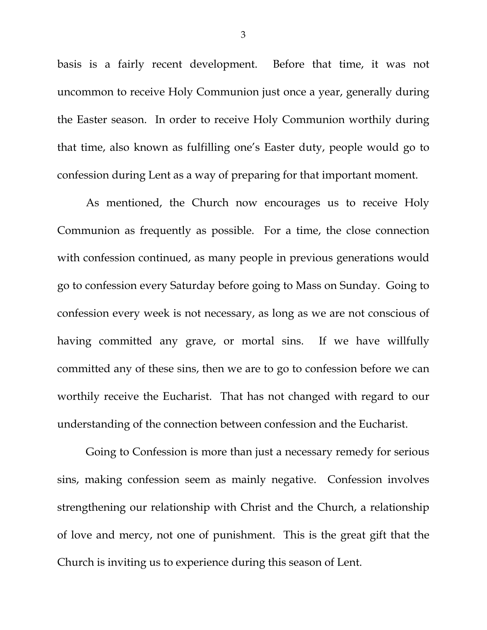basis is a fairly recent development. Before that time, it was not uncommon to receive Holy Communion just once a year, generally during the Easter season. In order to receive Holy Communion worthily during that time, also known as fulfilling one's Easter duty, people would go to confession during Lent as a way of preparing for that important moment.

As mentioned, the Church now encourages us to receive Holy Communion as frequently as possible. For a time, the close connection with confession continued, as many people in previous generations would go to confession every Saturday before going to Mass on Sunday. Going to confession every week is not necessary, as long as we are not conscious of having committed any grave, or mortal sins. If we have willfully committed any of these sins, then we are to go to confession before we can worthily receive the Eucharist. That has not changed with regard to our understanding of the connection between confession and the Eucharist.

Going to Confession is more than just a necessary remedy for serious sins, making confession seem as mainly negative. Confession involves strengthening our relationship with Christ and the Church, a relationship of love and mercy, not one of punishment. This is the great gift that the Church is inviting us to experience during this season of Lent.

3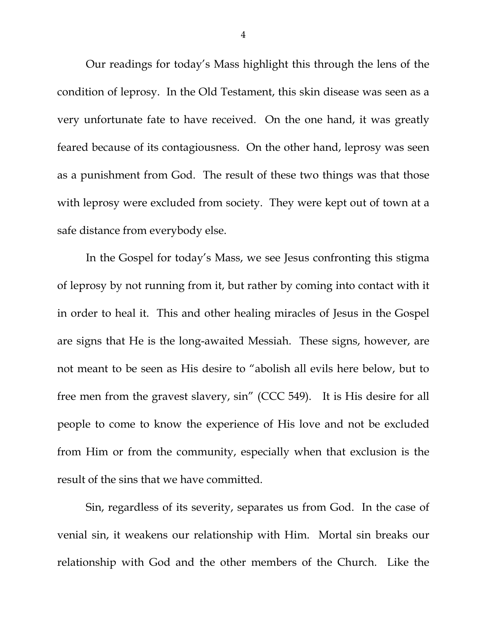Our readings for today's Mass highlight this through the lens of the condition of leprosy. In the Old Testament, this skin disease was seen as a very unfortunate fate to have received. On the one hand, it was greatly feared because of its contagiousness. On the other hand, leprosy was seen as a punishment from God. The result of these two things was that those with leprosy were excluded from society. They were kept out of town at a safe distance from everybody else.

In the Gospel for today's Mass, we see Jesus confronting this stigma of leprosy by not running from it, but rather by coming into contact with it in order to heal it. This and other healing miracles of Jesus in the Gospel are signs that He is the long-awaited Messiah. These signs, however, are not meant to be seen as His desire to "abolish all evils here below, but to free men from the gravest slavery, sin" (CCC 549). It is His desire for all people to come to know the experience of His love and not be excluded from Him or from the community, especially when that exclusion is the result of the sins that we have committed.

Sin, regardless of its severity, separates us from God. In the case of venial sin, it weakens our relationship with Him. Mortal sin breaks our relationship with God and the other members of the Church. Like the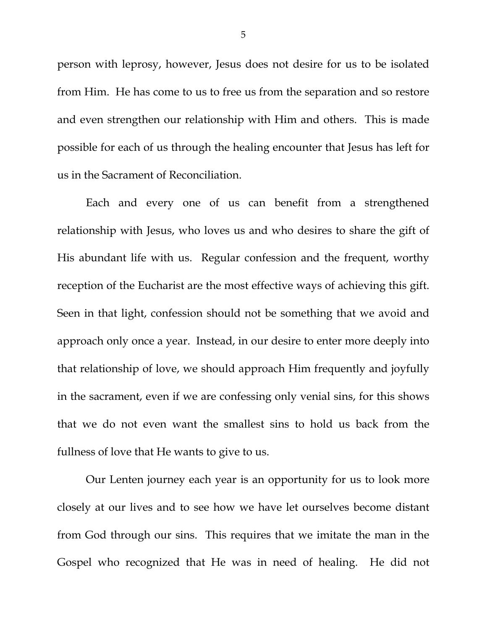person with leprosy, however, Jesus does not desire for us to be isolated from Him. He has come to us to free us from the separation and so restore and even strengthen our relationship with Him and others. This is made possible for each of us through the healing encounter that Jesus has left for us in the Sacrament of Reconciliation.

Each and every one of us can benefit from a strengthened relationship with Jesus, who loves us and who desires to share the gift of His abundant life with us. Regular confession and the frequent, worthy reception of the Eucharist are the most effective ways of achieving this gift. Seen in that light, confession should not be something that we avoid and approach only once a year. Instead, in our desire to enter more deeply into that relationship of love, we should approach Him frequently and joyfully in the sacrament, even if we are confessing only venial sins, for this shows that we do not even want the smallest sins to hold us back from the fullness of love that He wants to give to us.

Our Lenten journey each year is an opportunity for us to look more closely at our lives and to see how we have let ourselves become distant from God through our sins. This requires that we imitate the man in the Gospel who recognized that He was in need of healing. He did not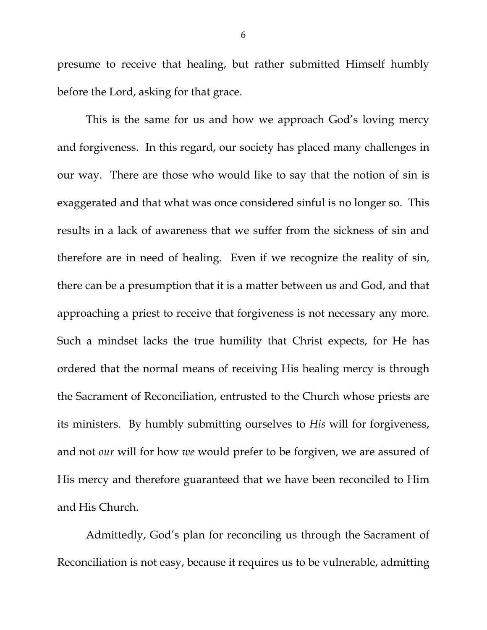presume to receive that healing, but rather submitted Himself humbly before the Lord, asking for that grace.

This is the same for us and how we approach God's loving mercy and forgiveness. In this regard, our society has placed many challenges in our way. There are those who would like to say that the notion of sin is exaggerated and that what was once considered sinful is no longer so. This results in a lack of awareness that we suffer from the sickness of sin and therefore are in need of healing. Even if we recognize the reality of sin, there can be a presumption that it is a matter between us and God, and that approaching a priest to receive that forgiveness is not necessary any more. Such a mindset lacks the true humility that Christ expects, for He has ordered that the normal means of receiving His healing mercy is through the Sacrament of Reconciliation, entrusted to the Church whose priests are its ministers. By humbly submitting ourselves to *His* will for forgiveness, and not *our* will for how *we* would prefer to be forgiven, we are assured of His mercy and therefore guaranteed that we have been reconciled to Him and His Church.

Admittedly, God's plan for reconciling us through the Sacrament of Reconciliation is not easy, because it requires us to be vulnerable, admitting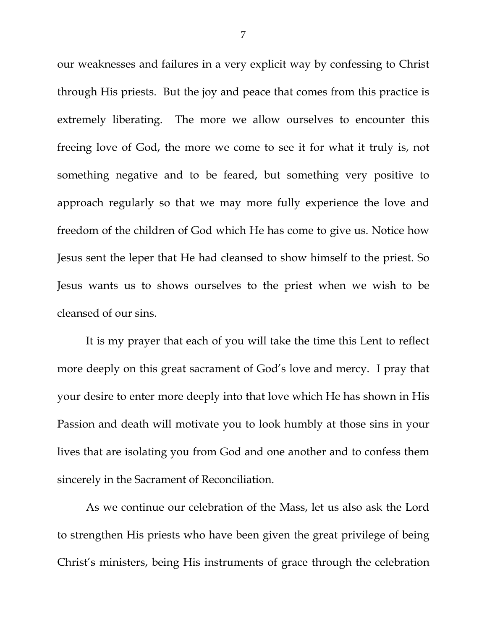our weaknesses and failures in a very explicit way by confessing to Christ through His priests. But the joy and peace that comes from this practice is extremely liberating. The more we allow ourselves to encounter this freeing love of God, the more we come to see it for what it truly is, not something negative and to be feared, but something very positive to approach regularly so that we may more fully experience the love and freedom of the children of God which He has come to give us. Notice how Jesus sent the leper that He had cleansed to show himself to the priest. So Jesus wants us to shows ourselves to the priest when we wish to be cleansed of our sins.

It is my prayer that each of you will take the time this Lent to reflect more deeply on this great sacrament of God's love and mercy. I pray that your desire to enter more deeply into that love which He has shown in His Passion and death will motivate you to look humbly at those sins in your lives that are isolating you from God and one another and to confess them sincerely in the Sacrament of Reconciliation.

As we continue our celebration of the Mass, let us also ask the Lord to strengthen His priests who have been given the great privilege of being Christ's ministers, being His instruments of grace through the celebration